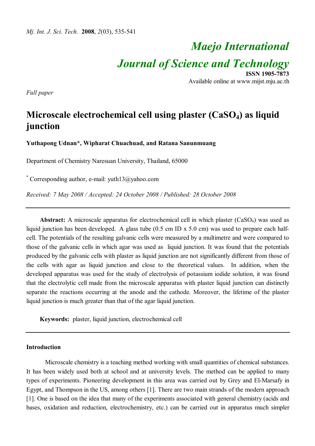# *Maejo International Journal of Science and Technology* **ISSN 1905-7873**

Available online at www.mijst.mju.ac.th

*Full paper*

# **Microscale electrochemical cell using plaster (CaSO4) as liquid junction**

**Yuthapong Udnan\*, Wipharat Chuachuad, and Ratana Sanunmuang**

Department of Chemistry Naresuan University, Thailand, 65000

\* Corresponding author, e-mail: yuth13@yahoo.com

*Received: 7 May 2008 / Accepted: 24 October 2008 / Published: 28 October 2008*

**Abstract:** A microscale apparatus for electrochemical cell in which plaster (CaSO<sub>4</sub>) was used as liquid junction has been developed. A glass tube (0.5 cm ID x 5.0 cm) was used to prepare each halfcell. The potentials of the resulting galvanic cells were measured by a multimetre and were compared to those of the galvanic cells in which agar was used as liquid junction. It was found that the potentials produced by the galvanic cells with plaster as liquid junction are not significantly different from those of the cells with agar as liquid junction and close to the theoretical values. In addition, when the developed apparatus was used for the study of electrolysis of potassium iodide solution, it was found that the electrolytic cell made from the microscale apparatus with plaster liquid junction can distinctly separate the reactions occurring at the anode and the cathode. Moreover, the lifetime of the plaster liquid junction is much greater than that of the agar liquid junction.

**Keywords:** plaster, liquid junction, electrochemical cell

#### **Introduction**

Microscale chemistry is a teaching method working with small quantities of chemical substances. It has been widely used both at school and at university levels. The method can be applied to many types of experiments. Pioneering development in this area was carried out by Grey and El-Marsafy in Egypt, and Thompson in the US, among others [1]. There are two main strands of the modern approach [1]. One is based on the idea that many of the experiments associated with general chemistry (acids and bases, oxidation and reduction, electrochemistry, etc.) can be carried out in apparatus much simpler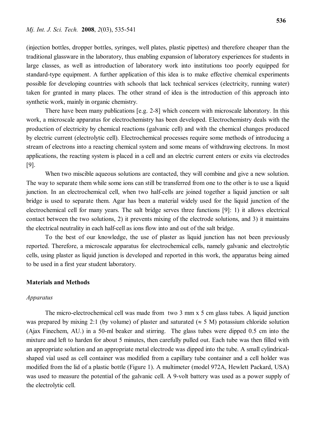(injection bottles, dropper bottles, syringes, well plates, plastic pipettes) and therefore cheaper than the traditional glassware in the laboratory, thus enabling expansion of laboratory experiences for students in large classes, as well as introduction of laboratory work into institutions too poorly equipped for standard-type equipment. A further application of this idea is to make effective chemical experiments possible for developing countries with schools that lack technical services (electricity, running water) taken for granted in many places. The other strand of idea is the introduction of this approach into synthetic work, mainly in organic chemistry.

There have been many publications [e.g. 2-8] which concern with microscale laboratory. In this work, a microscale apparatus for electrochemistry has been developed. Electrochemistry deals with the production of electricity by chemical reactions (galvanic cell) and with the chemical changes produced by electric current (electrolytic cell). Electrochemical processes require some methods of introducing a stream of electrons into a reacting chemical system and some means of withdrawing electrons. In most applications, the reacting system is placed in a cell and an electric current enters or exits via electrodes [9].

When two miscible aqueous solutions are contacted, they will combine and give a new solution. The way to separate them while some ions can still be transferred from one to the other is to use a liquid junction. In an electrochemical cell, when two half-cells are joined together a liquid junction or salt bridge is used to separate them. Agar has been a material widely used for the liquid junction of the electrochemical cell for many years. The salt bridge serves three functions [9]: 1) it allows electrical contact between the two solutions, 2) it prevents mixing of the electrode solutions, and 3) it maintains the electrical neutrality in each half-cell as ions flow into and out of the salt bridge.

To the best of our knowledge, the use of plaster as liquid junction has not been previously reported. Therefore, a microscale apparatus for electrochemical cells, namely galvanic and electrolytic cells, using plaster as liquid junction is developed and reported in this work, the apparatus being aimed to be used in a first year student laboratory.

#### **Materials and Methods**

### *Apparatus*

The micro-electrochemical cell was made from two 3 mm x 5 cm glass tubes. A liquid junction was prepared by mixing 2:1 (by volume) of plaster and saturated ( $\approx$  5 M) potassium chloride solution (Ajax Finechem, AU.) in a 50-ml beaker and stirring. The glass tubes were dipped 0.5 cm into the mixture and left to harden for about 5 minutes, then carefully pulled out. Each tube was then filled with an appropriate solution and an appropriate metal electrode was dipped into the tube. A small cylindricalshaped vial used as cell container was modified from a capillary tube container and a cell holder was modified from the lid of a plastic bottle (Figure 1). A multimeter (model 972A, Hewlett Packard, USA) was used to measure the potential of the galvanic cell. A 9-volt battery was used as a power supply of the electrolytic cell.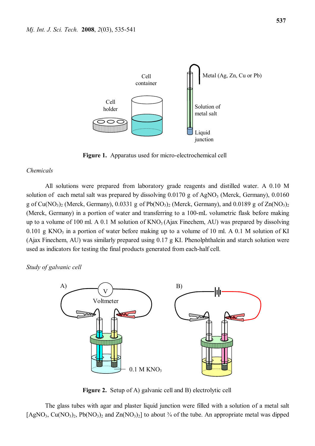

**Figure 1.** Apparatus used for micro-electrochemical cell

#### *Chemicals*

All solutions were prepared from laboratory grade reagents and distilled water. A 0.10 M solution of each metal salt was prepared by dissolving  $0.0170$  g of AgNO<sub>3</sub> (Merck, Germany),  $0.0160$ g of Cu(NO<sub>3</sub>)<sub>2</sub> (Merck, Germany), 0.0331 g of Pb(NO<sub>3</sub>)<sub>2</sub> (Merck, Germany), and 0.0189 g of Zn(NO<sub>3</sub>)<sub>2</sub> (Merck, Germany) in a portion of water and transferring to a 100-mL volumetric flask before making up to a volume of 100 ml. A 0.1 M solution of  $KNO<sub>3</sub>(A$ jax Finechem, AU) was prepared by dissolving  $0.101 \text{ g KNO}_3$  in a portion of water before making up to a volume of 10 ml. A 0.1 M solution of KI (Ajax Finechem, AU) was similarly prepared using 0.17 g KI. Phenolphthalein and starch solution were used as indicators for testing the final products generated from each-half cell.

*Study of galvanic cell*



**Figure 2.** Setup of A) galvanic cell and B) electrolytic cell

The glass tubes with agar and plaster liquid junction were filled with a solution of a metal salt  $[AgNO<sub>3</sub>, Cu(NO<sub>3</sub>)<sub>2</sub>, Pb(NO<sub>3</sub>)<sub>2</sub> and Zn(NO<sub>3</sub>)<sub>2</sub>]$  to about  $\frac{3}{4}$  of the tube. An appropriate metal was dipped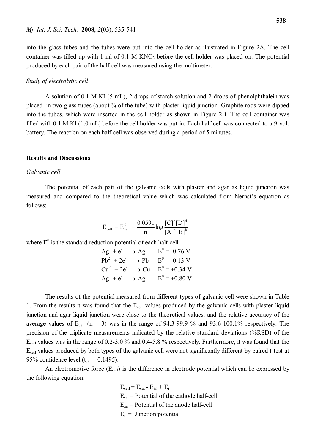produced by each pair of the half-cell was measured using the multimeter.

into the glass tubes and the tubes were put into the cell holder as illustrated in Figure 2A. The cell container was filled up with 1 ml of  $0.1$  M KNO<sub>3</sub> before the cell holder was placed on. The potential

#### *Study of electrolytic cell*

A solution of 0.1 M KI (5 mL), 2 drops of starch solution and 2 drops of phenolphthalein was placed in two glass tubes (about ¾ of the tube) with plaster liquid junction. Graphite rods were dipped into the tubes, which were inserted in the cell holder as shown in Figure 2B. The cell container was filled with 0.1 M KI (1.0 mL) before the cell holder was put in. Each half-cell was connected to a 9-volt battery. The reaction on each half-cell was observed during a period of 5 minutes.

#### **Results and Discussions**

#### *Galvanic cell*

The potential of each pair of the galvanic cells with plaster and agar as liquid junction was measured and compared to the theoretical value which was calculated from Nernst's equation as follows:

$$
E_{cell} = E_{cell}^{0} - \frac{0.0591}{n} \log \frac{[C]^c [D]^d}{[A]^a [B]^b}
$$

where  $E^0$  is the standard reduction potential of each half-cell:

| $Ag^+ + e^- \longrightarrow Ag$     | $E^0$ = -0.76 V |
|-------------------------------------|-----------------|
| $Pb^{2+} + 2e^- \longrightarrow Pb$ | $E^0 = -0.13$ V |
| $Cu^{2+} + 2e^- \longrightarrow Cu$ | $E^0 = +0.34$ V |
| $Ag^+ + e^- \longrightarrow Ag$     | $E^0$ = +0.80 V |

The results of the potential measured from different types of galvanic cell were shown in Table 1. From the results it was found that the Ecell values produced by the galvanic cells with plaster liquid junction and agar liquid junction were close to the theoretical values, and the relative accuracy of the average values of  $E_{cell}$  (n = 3) was in the range of 94.3-99.9 % and 93.6-100.1% respectively. The precision of the triplicate measurements indicated by the relative standard deviations (%RSD) of the Ecell values was in the range of 0.2-3.0 % and 0.4-5.8 % respectively. Furthermore, it was found that the  $E_{cell}$  values produced by both types of the galvanic cell were not significantly different by paired t-test at 95% confidence level ( $t_{cal} = 0.1495$ ).

An electromotive force  $(E_{cell})$  is the difference in electrode potential which can be expressed by the following equation:

$$
E_{cell} = E_{cat} - E_{an} + E_j
$$
  
\n
$$
E_{cat} = \text{Potential of the cathode half-cell}
$$
  
\n
$$
E_{an} = \text{Potential of the anode half-cell}
$$
  
\n
$$
E_j = \text{Junction potential}
$$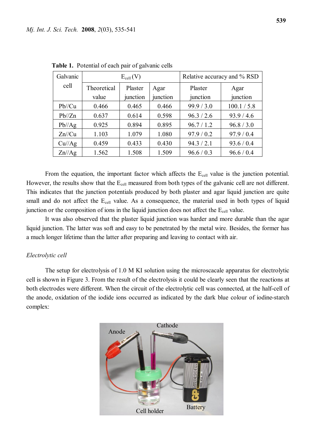| Galvanic  | $E_{cell}(V)$ |          |          | Relative accuracy and % RSD |             |
|-----------|---------------|----------|----------|-----------------------------|-------------|
| cell      | Theoretical   | Plaster  | Agar     | Plaster                     | Agar        |
|           | value         | junction | junction | junction                    | junction    |
| Pb//Cu    | 0.466         | 0.465    | 0.466    | 99.9 / 3.0                  | 100.1 / 5.8 |
| Pb//Zn    | 0.637         | 0.614    | 0.598    | 96.3 / 2.6                  | 93.9 / 4.6  |
| Pb//Ag    | 0.925         | 0.894    | 0.895    | 96.7 / 1.2                  | 96.8 / 3.0  |
| $Zn$ //Cu | 1.103         | 1.079    | 1.080    | 97.9 / 0.2                  | 97.9 / 0.4  |
| Cu//Ag    | 0.459         | 0.433    | 0.430    | 94.3 / 2.1                  | 93.6 / 0.4  |
| Zn//Ag    | 1.562         | 1.508    | 1.509    | 96.6 / 0.3                  | 96.6 / 0.4  |

 **Table 1.** Potential of each pair of galvanic cells

From the equation, the important factor which affects the  $E_{cell}$  value is the junction potential. However, the results show that the  $E_{cell}$  measured from both types of the galvanic cell are not different. This indicates that the junction potentials produced by both plaster and agar liquid junction are quite small and do not affect the E<sub>cell</sub> value. As a consequence, the material used in both types of liquid junction or the composition of ions in the liquid junction does not affect the  $E_{cell}$  value.

It was also observed that the plaster liquid junction was harder and more durable than the agar liquid junction. The latter was soft and easy to be penetrated by the metal wire. Besides, the former has a much longer lifetime than the latter after preparing and leaving to contact with air.

#### *Electrolytic cell*

The setup for electrolysis of 1.0 M KI solution using the microscacale apparatus for electrolytic cell is shown in Figure 3. From the result of the electrolysis it could be clearly seen that the reactions at both electrodes were different. When the circuit of the electrolytic cell was connected, at the half-cell of the anode, oxidation of the iodide ions occurred as indicated by the dark blue colour of iodine-starch complex:

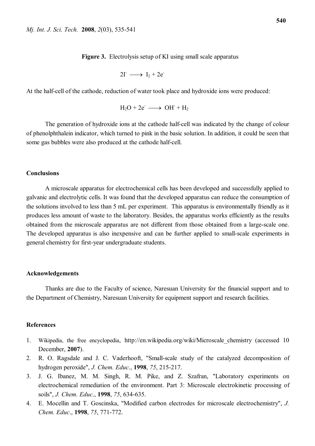$$
2\Gamma \longrightarrow I_2 + 2e^-
$$

At the half-cell of the cathode, reduction of water took place and hydroxide ions were produced:

$$
H_2O + 2e^- \longrightarrow OH^- + H_2
$$

The generation of hydroxide ions at the cathode half-cell was indicated by the change of colour of phenolphthalein indicator, which turned to pink in the basic solution. In addition, it could be seen that some gas bubbles were also produced at the cathode half-cell.

## **Conclusions**

A microscale apparatus for electrochemical cells has been developed and successfully applied to galvanic and electrolytic cells. It was found that the developed apparatus can reduce the consumption of the solutions involved to less than 5 mL per experiment. This apparatus is environmentally friendly as it produces less amount of waste to the laboratory. Besides, the apparatus works efficiently as the results obtained from the microscale apparatus are not different from those obtained from a large-scale one. The developed apparatus is also inexpensive and can be further applied to small-scale experiments in general chemistry for first-year undergraduate students.

#### **Acknowledgements**

Thanks are due to the Faculty of science, Naresuan University for the financial support and to the Department of Chemistry, Naresuan University for equipment support and research facilities.

# **References**

- 1. Wikipedia, the free encyclopedia, http://en.wikipedia.org/wiki/Microscale\_chemistry (accessed 10 December, **2007**).
- 2. R. O. Ragsdale and J. C. Vaderhooft, "Small-scale study of the catalyzed decomposition of hydrogen peroxide", *J. Chem. Educ*., **1998**, *75*, 215-217.
- 3. J. G. Ibanez, M. M. Singh, R. M. Pike, and Z. Szafran, "Laboratory experiments on electrochemical remediation of the environment. Part 3: Microscale electrokinetic processing of soils", *J. Chem. Educ*., **1998**, *75*, 634-635.
- 4. E. Mocellin and T. Goscinska, "Modified carbon electrodes for microscale electrochemistry", *J. Chem. Educ*., **1998**, *75*, 771-772.